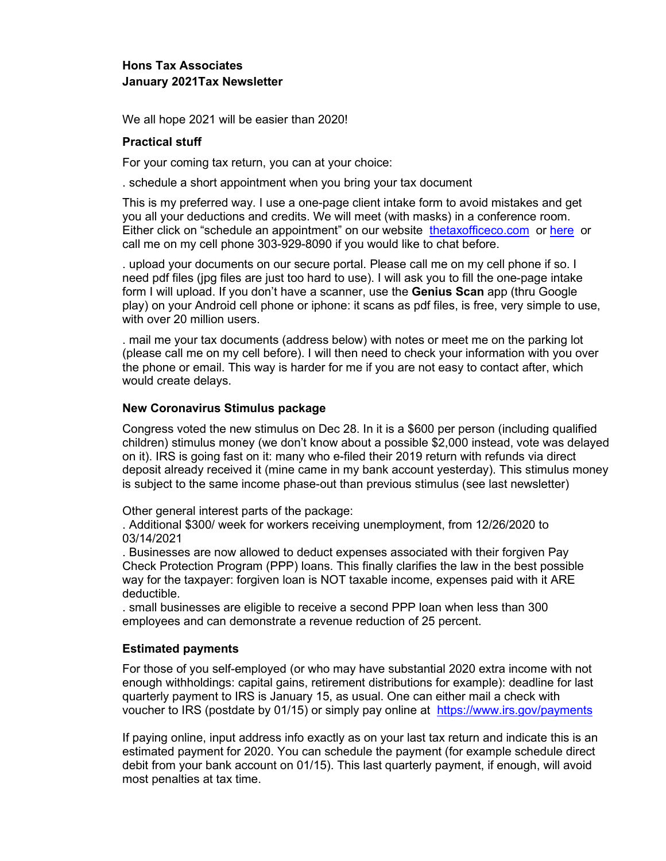# **Hons Tax Associates January 2021Tax Newsletter**

We all hope 2021 will be easier than 2020!

## **Practical stuff**

For your coming tax return, you can at your choice:

. schedule a short appointment when you bring your tax document

This is my preferred way. I use a one-page client intake form to avoid mistakes and get you all your deductions and credits. We will meet (with masks) in a conference room. Either click on "schedule an appointment" on our website thetaxofficeco.com or here or call me on my cell phone 303-929-8090 if you would like to chat before.

. upload your documents on our secure portal. Please call me on my cell phone if so. I need pdf files (jpg files are just too hard to use). I will ask you to fill the one-page intake form I will upload. If you don't have a scanner, use the **Genius Scan** app (thru Google play) on your Android cell phone or iphone: it scans as pdf files, is free, very simple to use, with over 20 million users.

. mail me your tax documents (address below) with notes or meet me on the parking lot (please call me on my cell before). I will then need to check your information with you over the phone or email. This way is harder for me if you are not easy to contact after, which would create delays.

#### **New Coronavirus Stimulus package**

Congress voted the new stimulus on Dec 28. In it is a \$600 per person (including qualified children) stimulus money (we don't know about a possible \$2,000 instead, vote was delayed on it). IRS is going fast on it: many who e-filed their 2019 return with refunds via direct deposit already received it (mine came in my bank account yesterday). This stimulus money is subject to the same income phase-out than previous stimulus (see last newsletter)

Other general interest parts of the package:

. Additional \$300/ week for workers receiving unemployment, from 12/26/2020 to 03/14/2021

. Businesses are now allowed to deduct expenses associated with their forgiven Pay Check Protection Program (PPP) loans. This finally clarifies the law in the best possible way for the taxpayer: forgiven loan is NOT taxable income, expenses paid with it ARE deductible.

. small businesses are eligible to receive a second PPP loan when less than 300 employees and can demonstrate a revenue reduction of 25 percent.

## **Estimated payments**

For those of you self-employed (or who may have substantial 2020 extra income with not enough withholdings: capital gains, retirement distributions for example): deadline for last quarterly payment to IRS is January 15, as usual. One can either mail a check with voucher to IRS (postdate by 01/15) or simply pay online at https://www.irs.gov/payments

If paying online, input address info exactly as on your last tax return and indicate this is an estimated payment for 2020. You can schedule the payment (for example schedule direct debit from your bank account on 01/15). This last quarterly payment, if enough, will avoid most penalties at tax time.